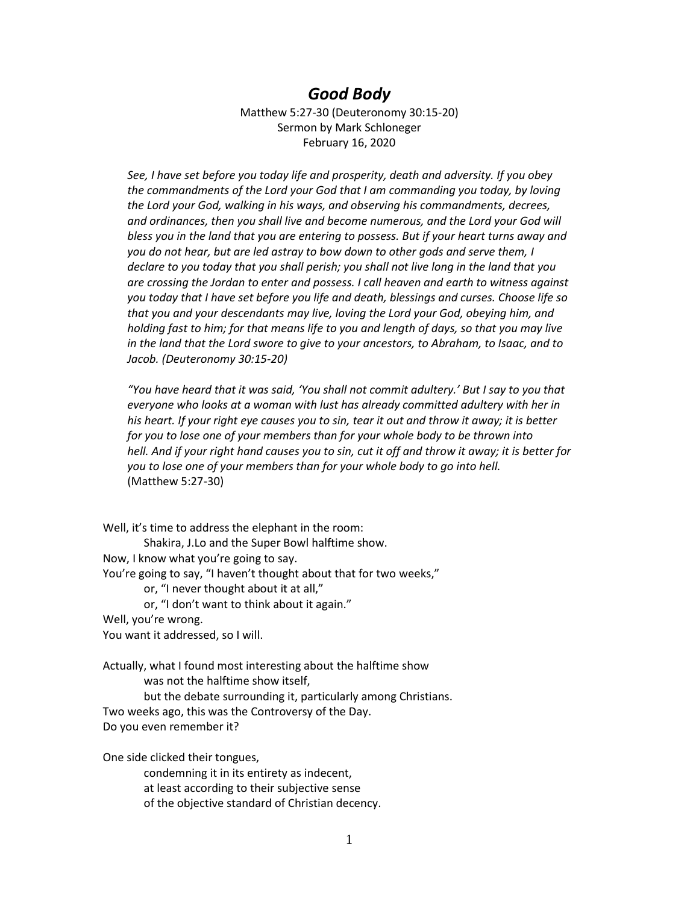## *Good Body*

Matthew 5:27-30 (Deuteronomy 30:15-20) Sermon by Mark Schloneger February 16, 2020

*See, I have set before you today life and prosperity, death and adversity. If you obey the commandments of the Lord your God that I am commanding you today, by loving the Lord your God, walking in his ways, and observing his commandments, decrees, and ordinances, then you shall live and become numerous, and the Lord your God will bless you in the land that you are entering to possess. But if your heart turns away and you do not hear, but are led astray to bow down to other gods and serve them, I declare to you today that you shall perish; you shall not live long in the land that you are crossing the Jordan to enter and possess. I call heaven and earth to witness against you today that I have set before you life and death, blessings and curses. Choose life so that you and your descendants may live, loving the Lord your God, obeying him, and holding fast to him; for that means life to you and length of days, so that you may live in the land that the Lord swore to give to your ancestors, to Abraham, to Isaac, and to Jacob. (Deuteronomy 30:15-20)*

*"You have heard that it was said, 'You shall not commit adultery.' But I say to you that everyone who looks at a woman with lust has already committed adultery with her in his heart. If your right eye causes you to sin, tear it out and throw it away; it is better for you to lose one of your members than for your whole body to be thrown into hell. And if your right hand causes you to sin, cut it off and throw it away; it is better for you to lose one of your members than for your whole body to go into hell.* (Matthew 5:27-30)

Well, it's time to address the elephant in the room: Shakira, J.Lo and the Super Bowl halftime show. Now, I know what you're going to say. You're going to say, "I haven't thought about that for two weeks," or, "I never thought about it at all," or, "I don't want to think about it again."

Well, you're wrong.

You want it addressed, so I will.

Actually, what I found most interesting about the halftime show was not the halftime show itself, but the debate surrounding it, particularly among Christians. Two weeks ago, this was the Controversy of the Day. Do you even remember it?

One side clicked their tongues,

condemning it in its entirety as indecent,

at least according to their subjective sense

of the objective standard of Christian decency.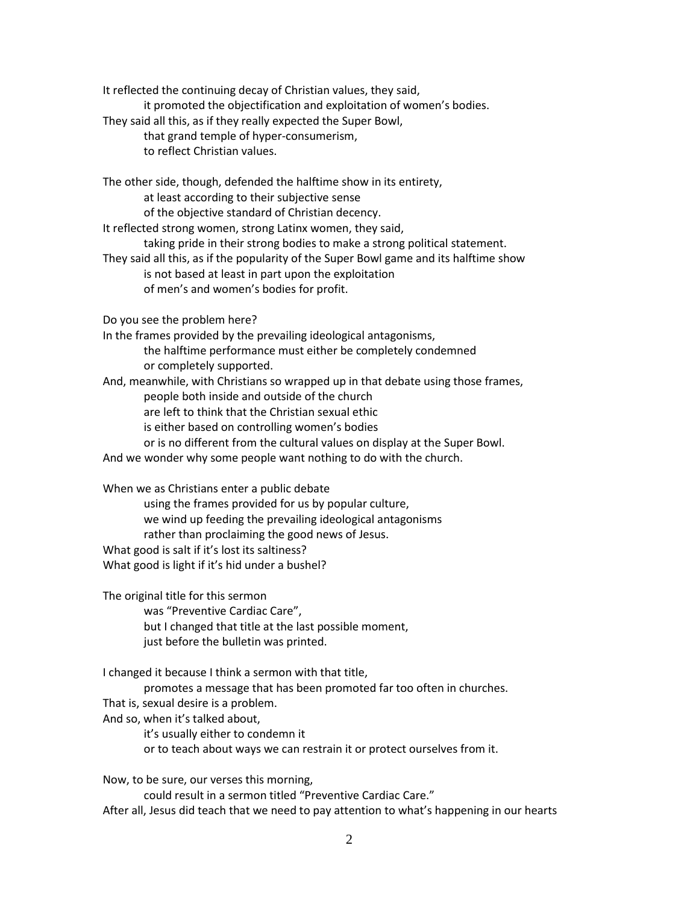It reflected the continuing decay of Christian values, they said,

it promoted the objectification and exploitation of women's bodies.

They said all this, as if they really expected the Super Bowl,

that grand temple of hyper-consumerism,

to reflect Christian values.

The other side, though, defended the halftime show in its entirety, at least according to their subjective sense of the objective standard of Christian decency.

It reflected strong women, strong Latinx women, they said,

taking pride in their strong bodies to make a strong political statement.

They said all this, as if the popularity of the Super Bowl game and its halftime show is not based at least in part upon the exploitation of men's and women's bodies for profit.

Do you see the problem here?

In the frames provided by the prevailing ideological antagonisms,

the halftime performance must either be completely condemned or completely supported.

And, meanwhile, with Christians so wrapped up in that debate using those frames, people both inside and outside of the church are left to think that the Christian sexual ethic is either based on controlling women's bodies or is no different from the cultural values on display at the Super Bowl.

And we wonder why some people want nothing to do with the church.

When we as Christians enter a public debate

using the frames provided for us by popular culture, we wind up feeding the prevailing ideological antagonisms rather than proclaiming the good news of Jesus. What good is salt if it's lost its saltiness? What good is light if it's hid under a bushel?

The original title for this sermon was "Preventive Cardiac Care", but I changed that title at the last possible moment, just before the bulletin was printed.

I changed it because I think a sermon with that title,

promotes a message that has been promoted far too often in churches.

That is, sexual desire is a problem.

And so, when it's talked about,

it's usually either to condemn it

or to teach about ways we can restrain it or protect ourselves from it.

Now, to be sure, our verses this morning,

could result in a sermon titled "Preventive Cardiac Care." After all, Jesus did teach that we need to pay attention to what's happening in our hearts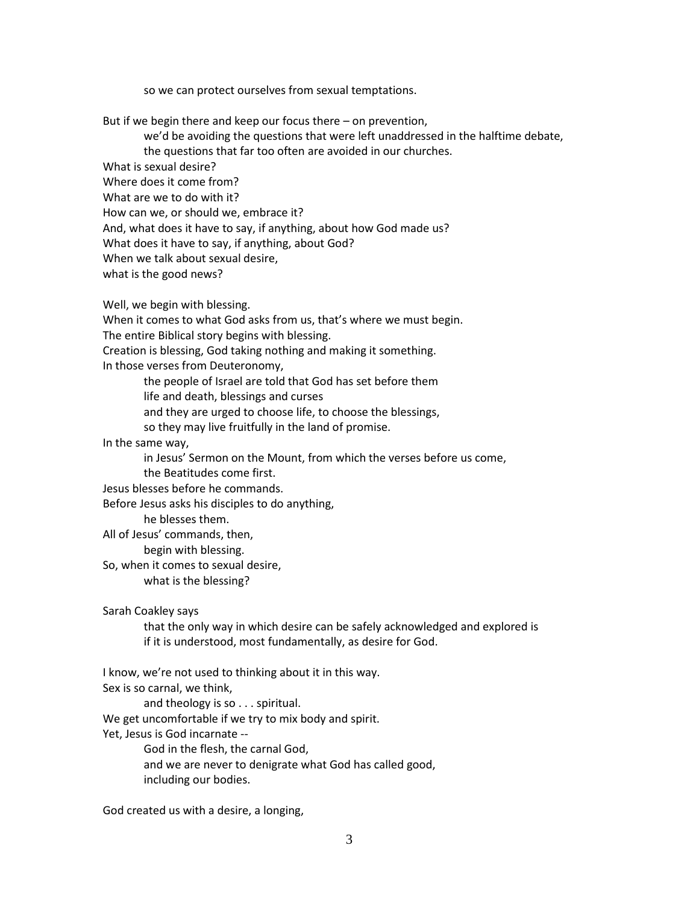so we can protect ourselves from sexual temptations.

But if we begin there and keep our focus there – on prevention,

we'd be avoiding the questions that were left unaddressed in the halftime debate, the questions that far too often are avoided in our churches.

What is sexual desire?

Where does it come from?

What are we to do with it?

How can we, or should we, embrace it?

And, what does it have to say, if anything, about how God made us?

What does it have to say, if anything, about God?

When we talk about sexual desire,

what is the good news?

Well, we begin with blessing.

When it comes to what God asks from us, that's where we must begin.

The entire Biblical story begins with blessing.

Creation is blessing, God taking nothing and making it something.

In those verses from Deuteronomy,

the people of Israel are told that God has set before them

life and death, blessings and curses

and they are urged to choose life, to choose the blessings,

so they may live fruitfully in the land of promise.

In the same way,

in Jesus' Sermon on the Mount, from which the verses before us come, the Beatitudes come first.

Jesus blesses before he commands.

Before Jesus asks his disciples to do anything,

he blesses them.

All of Jesus' commands, then,

begin with blessing.

So, when it comes to sexual desire,

what is the blessing?

Sarah Coakley says

that the only way in which desire can be safely acknowledged and explored is if it is understood, most fundamentally, as desire for God.

I know, we're not used to thinking about it in this way.

Sex is so carnal, we think,

and theology is so . . . spiritual.

We get uncomfortable if we try to mix body and spirit.

Yet, Jesus is God incarnate --

God in the flesh, the carnal God, and we are never to denigrate what God has called good,

including our bodies.

God created us with a desire, a longing,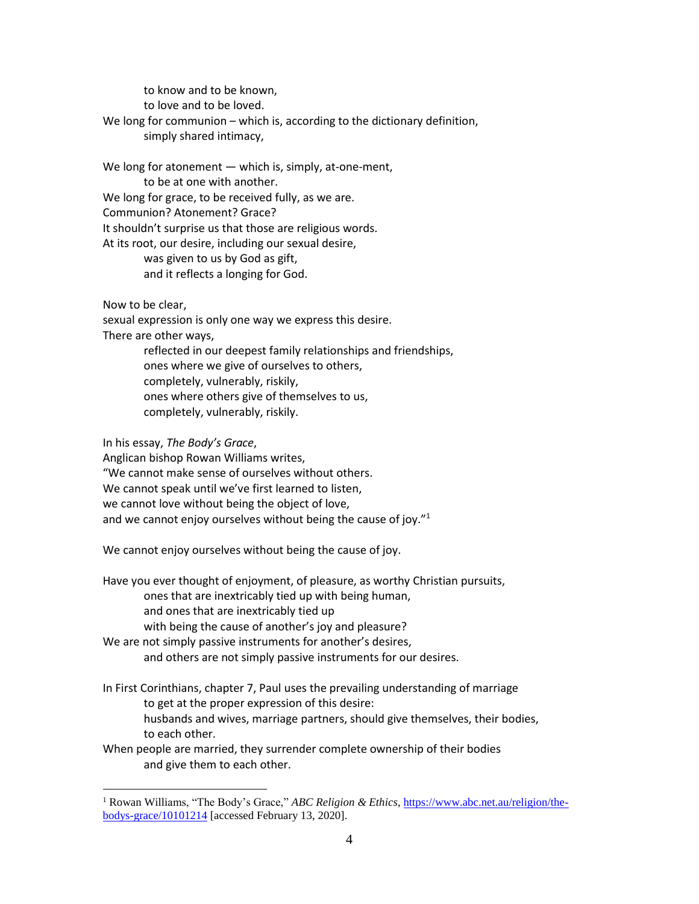to know and to be known, to love and to be loved. We long for communion – which is, according to the dictionary definition, simply shared intimacy,

We long for atonement — which is, simply, at-one-ment, to be at one with another. We long for grace, to be received fully, as we are. Communion? Atonement? Grace? It shouldn't surprise us that those are religious words. At its root, our desire, including our sexual desire, was given to us by God as gift, and it reflects a longing for God.

Now to be clear,

 $\overline{a}$ 

sexual expression is only one way we express this desire. There are other ways,

> reflected in our deepest family relationships and friendships, ones where we give of ourselves to others, completely, vulnerably, riskily, ones where others give of themselves to us, completely, vulnerably, riskily.

In his essay, *The Body's Grace*,

Anglican bishop Rowan Williams writes, "We cannot make sense of ourselves without others. We cannot speak until we've first learned to listen, we cannot love without being the object of love, and we cannot enjoy ourselves without being the cause of joy."<sup>1</sup>

We cannot enjoy ourselves without being the cause of joy.

Have you ever thought of enjoyment, of pleasure, as worthy Christian pursuits, ones that are inextricably tied up with being human, and ones that are inextricably tied up with being the cause of another's joy and pleasure?

We are not simply passive instruments for another's desires, and others are not simply passive instruments for our desires.

- In First Corinthians, chapter 7, Paul uses the prevailing understanding of marriage to get at the proper expression of this desire: husbands and wives, marriage partners, should give themselves, their bodies, to each other.
- When people are married, they surrender complete ownership of their bodies and give them to each other.

<sup>1</sup> Rowan Williams, "The Body's Grace," *ABC Religion & Ethics*[, https://www.abc.net.au/religion/the](https://www.abc.net.au/religion/the-bodys-grace/10101214)[bodys-grace/10101214](https://www.abc.net.au/religion/the-bodys-grace/10101214) [accessed February 13, 2020].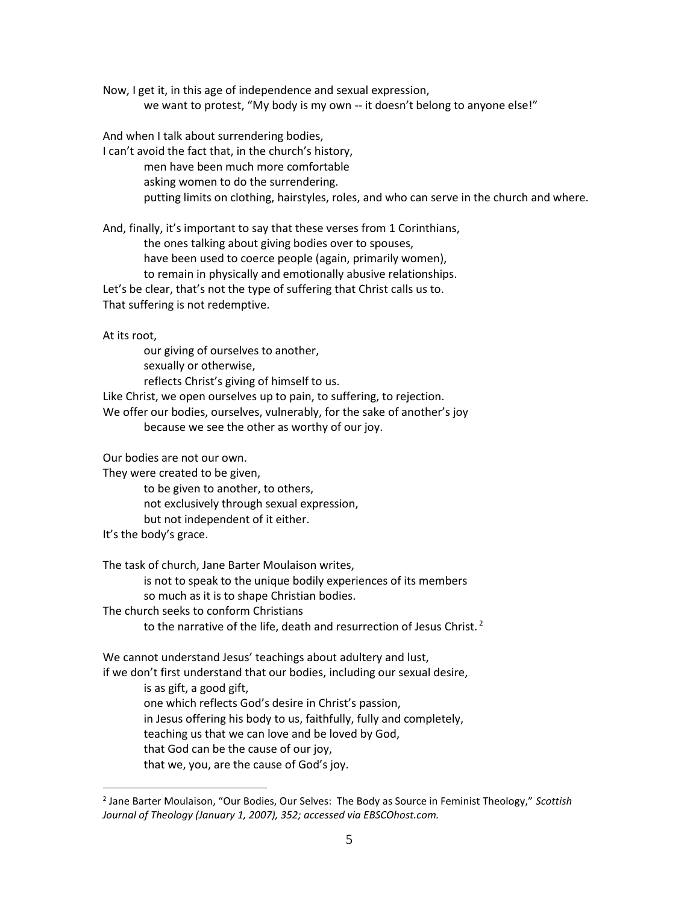Now, I get it, in this age of independence and sexual expression,

we want to protest, "My body is my own -- it doesn't belong to anyone else!"

And when I talk about surrendering bodies,

I can't avoid the fact that, in the church's history,

men have been much more comfortable

asking women to do the surrendering.

putting limits on clothing, hairstyles, roles, and who can serve in the church and where.

And, finally, it's important to say that these verses from 1 Corinthians,

the ones talking about giving bodies over to spouses,

have been used to coerce people (again, primarily women),

to remain in physically and emotionally abusive relationships.

Let's be clear, that's not the type of suffering that Christ calls us to.

That suffering is not redemptive.

At its root,

our giving of ourselves to another,

sexually or otherwise,

reflects Christ's giving of himself to us.

Like Christ, we open ourselves up to pain, to suffering, to rejection.

We offer our bodies, ourselves, vulnerably, for the sake of another's joy

because we see the other as worthy of our joy.

Our bodies are not our own.

They were created to be given,

to be given to another, to others, not exclusively through sexual expression, but not independent of it either.

It's the body's grace.

 $\overline{a}$ 

The task of church, Jane Barter Moulaison writes,

is not to speak to the unique bodily experiences of its members so much as it is to shape Christian bodies.

The church seeks to conform Christians

to the narrative of the life, death and resurrection of Jesus Christ. <sup>2</sup>

We cannot understand Jesus' teachings about adultery and lust, if we don't first understand that our bodies, including our sexual desire,

is as gift, a good gift,

one which reflects God's desire in Christ's passion,

in Jesus offering his body to us, faithfully, fully and completely,

teaching us that we can love and be loved by God,

that God can be the cause of our joy,

that we, you, are the cause of God's joy.

<sup>2</sup> Jane Barter Moulaison, "Our Bodies, Our Selves: The Body as Source in Feminist Theology," *Scottish Journal of Theology (January 1, 2007), 352; accessed via EBSCOhost.com.*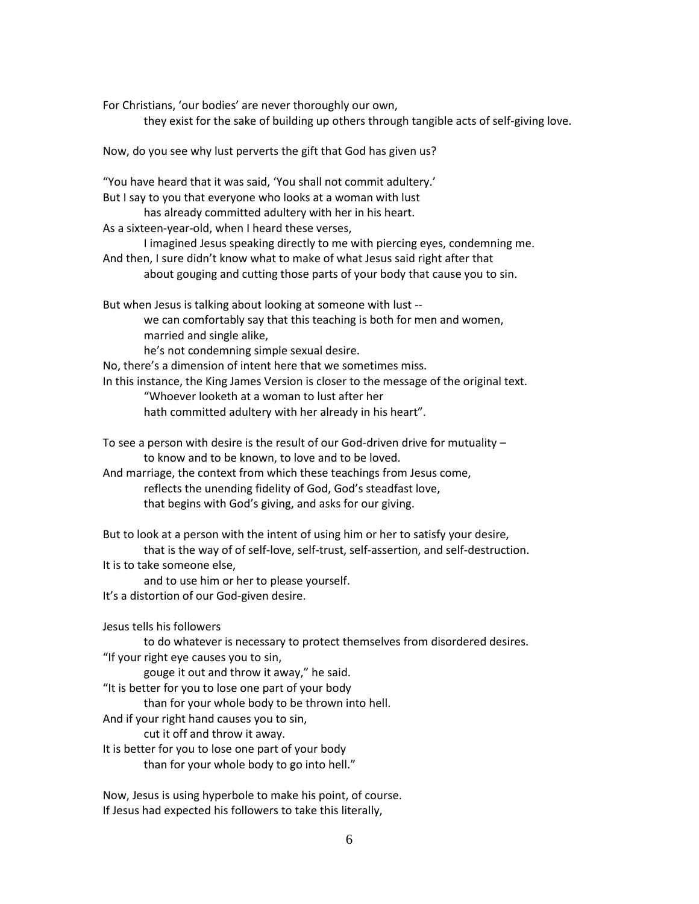For Christians, 'our bodies' are never thoroughly our own,

they exist for the sake of building up others through tangible acts of self-giving love.

Now, do you see why lust perverts the gift that God has given us?

"You have heard that it was said, 'You shall not commit adultery.' But I say to you that everyone who looks at a woman with lust has already committed adultery with her in his heart. As a sixteen-year-old, when I heard these verses, I imagined Jesus speaking directly to me with piercing eyes, condemning me. And then, I sure didn't know what to make of what Jesus said right after that about gouging and cutting those parts of your body that cause you to sin. But when Jesus is talking about looking at someone with lust - we can comfortably say that this teaching is both for men and women, married and single alike, he's not condemning simple sexual desire. No, there's a dimension of intent here that we sometimes miss. In this instance, the King James Version is closer to the message of the original text. "Whoever looketh at a woman to lust after her hath committed adultery with her already in his heart". To see a person with desire is the result of our God-driven drive for mutuality – to know and to be known, to love and to be loved. And marriage, the context from which these teachings from Jesus come, reflects the unending fidelity of God, God's steadfast love, that begins with God's giving, and asks for our giving. But to look at a person with the intent of using him or her to satisfy your desire, that is the way of of self-love, self-trust, self-assertion, and self-destruction. It is to take someone else, and to use him or her to please yourself. It's a distortion of our God-given desire. Jesus tells his followers to do whatever is necessary to protect themselves from disordered desires. "If your right eye causes you to sin, gouge it out and throw it away," he said. "It is better for you to lose one part of your body than for your whole body to be thrown into hell.

And if your right hand causes you to sin,

cut it off and throw it away.

It is better for you to lose one part of your body than for your whole body to go into hell."

Now, Jesus is using hyperbole to make his point, of course. If Jesus had expected his followers to take this literally,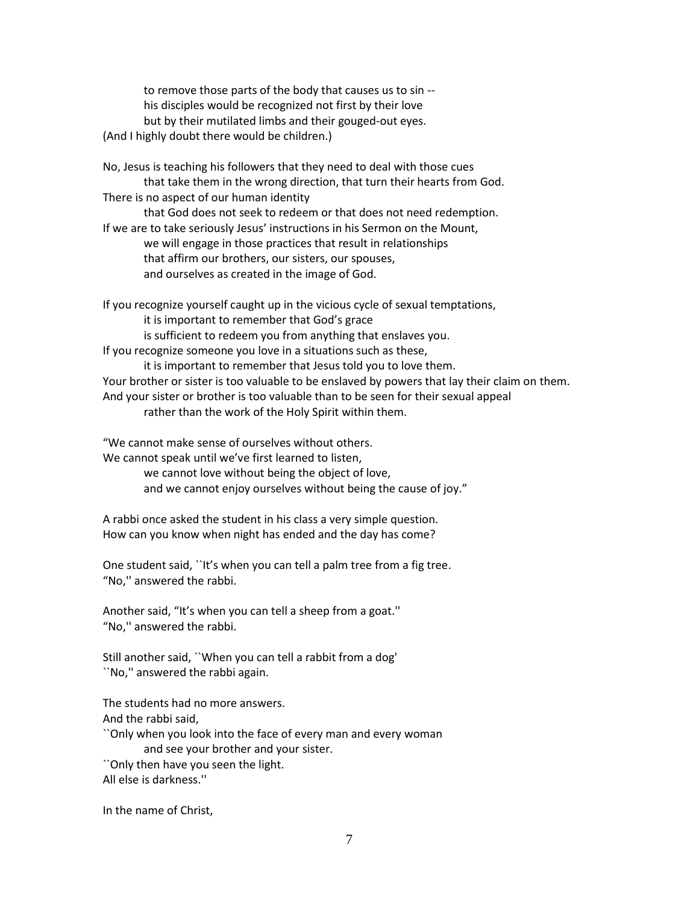to remove those parts of the body that causes us to sin - his disciples would be recognized not first by their love but by their mutilated limbs and their gouged-out eyes. (And I highly doubt there would be children.)

No, Jesus is teaching his followers that they need to deal with those cues that take them in the wrong direction, that turn their hearts from God. There is no aspect of our human identity that God does not seek to redeem or that does not need redemption. If we are to take seriously Jesus' instructions in his Sermon on the Mount, we will engage in those practices that result in relationships that affirm our brothers, our sisters, our spouses,

and ourselves as created in the image of God.

If you recognize yourself caught up in the vicious cycle of sexual temptations, it is important to remember that God's grace is sufficient to redeem you from anything that enslaves you. If you recognize someone you love in a situations such as these, it is important to remember that Jesus told you to love them. Your brother or sister is too valuable to be enslaved by powers that lay their claim on them. And your sister or brother is too valuable than to be seen for their sexual appeal rather than the work of the Holy Spirit within them.

"We cannot make sense of ourselves without others. We cannot speak until we've first learned to listen, we cannot love without being the object of love, and we cannot enjoy ourselves without being the cause of joy."

A rabbi once asked the student in his class a very simple question. How can you know when night has ended and the day has come?

One student said, ``It's when you can tell a palm tree from a fig tree. "No,'' answered the rabbi.

Another said, "It's when you can tell a sheep from a goat.'' "No,'' answered the rabbi.

Still another said, ``When you can tell a rabbit from a dog' ``No,'' answered the rabbi again.

The students had no more answers. And the rabbi said,

``Only when you look into the face of every man and every woman and see your brother and your sister.

``Only then have you seen the light.

All else is darkness.''

In the name of Christ,